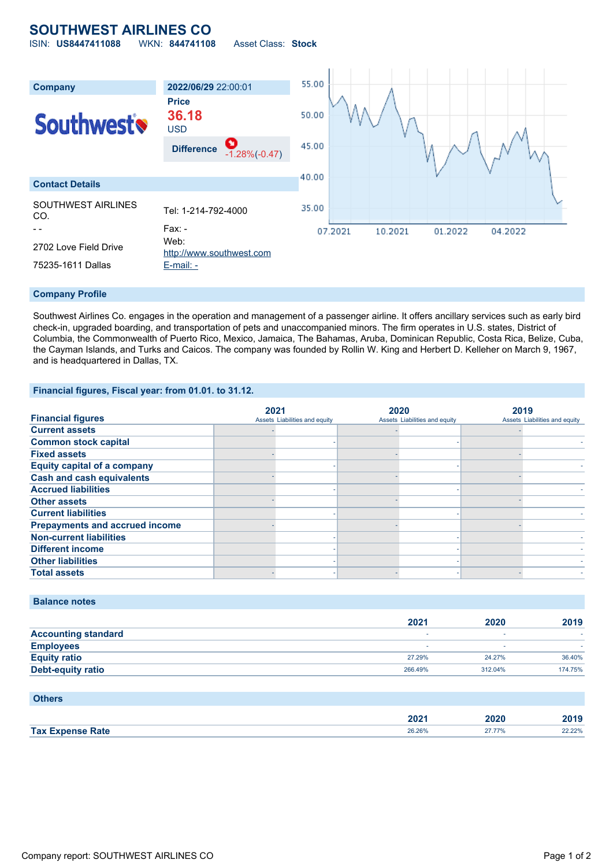## **SOUTHWEST AIRLINES CO**

ISIN: **US8447411088** WKN: **844741108** Asset Class: **Stock**



### **Company Profile**

Southwest Airlines Co. engages in the operation and management of a passenger airline. It offers ancillary services such as early bird check-in, upgraded boarding, and transportation of pets and unaccompanied minors. The firm operates in U.S. states, District of Columbia, the Commonwealth of Puerto Rico, Mexico, Jamaica, The Bahamas, Aruba, Dominican Republic, Costa Rica, Belize, Cuba, the Cayman Islands, and Turks and Caicos. The company was founded by Rollin W. King and Herbert D. Kelleher on March 9, 1967, and is headquartered in Dallas, TX.

## **Financial figures, Fiscal year: from 01.01. to 31.12.**

|                                       | 2021                          | 2020                          | 2019 |                               |
|---------------------------------------|-------------------------------|-------------------------------|------|-------------------------------|
| <b>Financial figures</b>              | Assets Liabilities and equity | Assets Liabilities and equity |      | Assets Liabilities and equity |
| <b>Current assets</b>                 |                               |                               |      |                               |
| <b>Common stock capital</b>           |                               |                               |      |                               |
| <b>Fixed assets</b>                   |                               |                               |      |                               |
| <b>Equity capital of a company</b>    |                               |                               |      |                               |
| <b>Cash and cash equivalents</b>      |                               |                               |      |                               |
| <b>Accrued liabilities</b>            |                               |                               |      |                               |
| <b>Other assets</b>                   |                               |                               |      |                               |
| <b>Current liabilities</b>            |                               |                               |      |                               |
| <b>Prepayments and accrued income</b> |                               |                               |      |                               |
| <b>Non-current liabilities</b>        |                               |                               |      |                               |
| <b>Different income</b>               |                               |                               |      |                               |
| <b>Other liabilities</b>              |                               |                               |      |                               |
| <b>Total assets</b>                   |                               |                               |      |                               |

## **Balance notes**

|                            | 2021    | 2020    | 2019    |
|----------------------------|---------|---------|---------|
| <b>Accounting standard</b> |         |         |         |
| <b>Employees</b>           |         |         |         |
| <b>Equity ratio</b>        | 27.29%  | 24.27%  | 36.40%  |
| <b>Debt-equity ratio</b>   | 266.49% | 312.04% | 174.75% |

| <b>Others</b>           |        |        |        |
|-------------------------|--------|--------|--------|
|                         | 2021   | 2020   | 2019   |
| <b>Tax Expense Rate</b> | 26.26% | 27.77% | 22.22% |